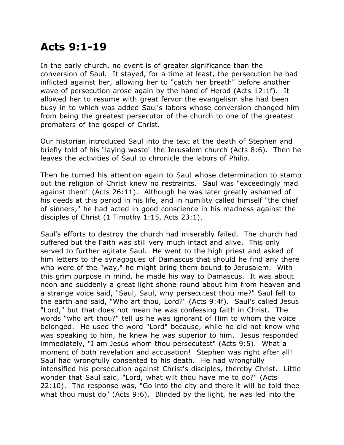## **Acts 9:1-19**

In the early church, no event is of greater significance than the conversion of Saul. It stayed, for a time at least, the persecution he had inflicted against her, allowing her to "catch her breath" before another wave of persecution arose again by the hand of Herod (Acts 12:1f). It allowed her to resume with great fervor the evangelism she had been busy in to which was added Saul's labors whose conversion changed him from being the greatest persecutor of the church to one of the greatest promoters of the gospel of Christ.

Our historian introduced Saul into the text at the death of Stephen and briefly told of his "laying waste" the Jerusalem church (Acts 8:6). Then he leaves the activities of Saul to chronicle the labors of Philip.

Then he turned his attention again to Saul whose determination to stamp out the religion of Christ knew no restraints. Saul was "exceedingly mad against them" (Acts 26:11). Although he was later greatly ashamed of his deeds at this period in his life, and in humility called himself "the chief of sinners," he had acted in good conscience in his madness against the disciples of Christ (1 Timothy 1:15, Acts 23:1).

Saul's efforts to destroy the church had miserably failed. The church had suffered but the Faith was still very much intact and alive. This only served to further agitate Saul. He went to the high priest and asked of him letters to the synagogues of Damascus that should he find any there who were of the "way," he might bring them bound to Jerusalem. With this grim purpose in mind, he made his way to Damascus. It was about noon and suddenly a great light shone round about him from heaven and a strange voice said, "Saul, Saul, why persecutest thou me?" Saul fell to the earth and said, "Who art thou, Lord?" (Acts 9:4f). Saul's called Jesus "Lord," but that does not mean he was confessing faith in Christ. The words "who art thou?" tell us he was ignorant of Him to whom the voice belonged. He used the word "Lord" because, while he did not know who was speaking to him, he knew he was superior to him. Jesus responded immediately, "I am Jesus whom thou persecutest" (Acts 9:5). What a moment of both revelation and accusation! Stephen was right after all! Saul had wrongfully consented to his death. He had wrongfully intensified his persecution against Christ's disciples, thereby Christ. Little wonder that Saul said, "Lord, what wilt thou have me to do?" (Acts 22:10). The response was, "Go into the city and there it will be told thee what thou must do" (Acts 9:6). Blinded by the light, he was led into the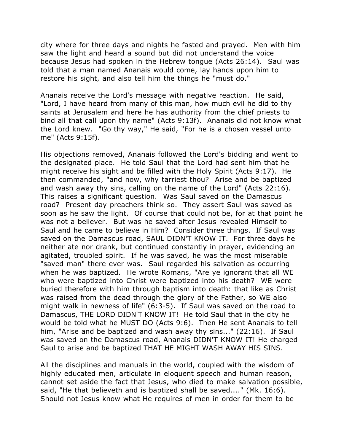city where for three days and nights he fasted and prayed. Men with him saw the light and heard a sound but did not understand the voice because Jesus had spoken in the Hebrew tongue (Acts 26:14). Saul was told that a man named Ananais would come, lay hands upon him to restore his sight, and also tell him the things he "must do."

Ananais receive the Lord's message with negative reaction. He said, "Lord, I have heard from many of this man, how much evil he did to thy saints at Jerusalem and here he has authority from the chief priests to bind all that call upon thy name" (Acts 9:13f). Ananais did not know what the Lord knew. "Go thy way," He said, "For he is a chosen vessel unto me" (Acts 9:15f).

His objections removed, Ananais followed the Lord's bidding and went to the designated place. He told Saul that the Lord had sent him that he might receive his sight and be filled with the Holy Spirit (Acts 9:17). He then commanded, "and now, why tarriest thou? Arise and be baptized and wash away thy sins, calling on the name of the Lord" (Acts 22:16). This raises a significant question. Was Saul saved on the Damascus road? Present day preachers think so. They assert Saul was saved as soon as he saw the light. Of course that could not be, for at that point he was not a believer. But was he saved after Jesus revealed Himself to Saul and he came to believe in Him? Consider three things. If Saul was saved on the Damascus road, SAUL DIDN'T KNOW IT. For three days he neither ate nor drank, but continued constantly in prayer, evidencing an agitated, troubled spirit. If he was saved, he was the most miserable "saved man" there ever was. Saul regarded his salvation as occurring when he was baptized. He wrote Romans, "Are ye ignorant that all WE who were baptized into Christ were baptized into his death? WE were buried therefore with him through baptism into death: that like as Christ was raised from the dead through the glory of the Father, so WE also might walk in newness of life" (6:3-5). If Saul was saved on the road to Damascus, THE LORD DIDN'T KNOW IT! He told Saul that in the city he would be told what he MUST DO (Acts 9:6). Then He sent Ananais to tell him, "Arise and be baptized and wash away thy sins..." (22:16). If Saul was saved on the Damascus road, Ananais DIDN'T KNOW IT! He charged Saul to arise and be baptized THAT HE MIGHT WASH AWAY HIS SINS.

All the disciplines and manuals in the world, coupled with the wisdom of highly educated men, articulate in eloquent speech and human reason, cannot set aside the fact that Jesus, who died to make salvation possible, said, "He that believeth and is baptized shall be saved...." (Mk. 16:6). Should not Jesus know what He requires of men in order for them to be